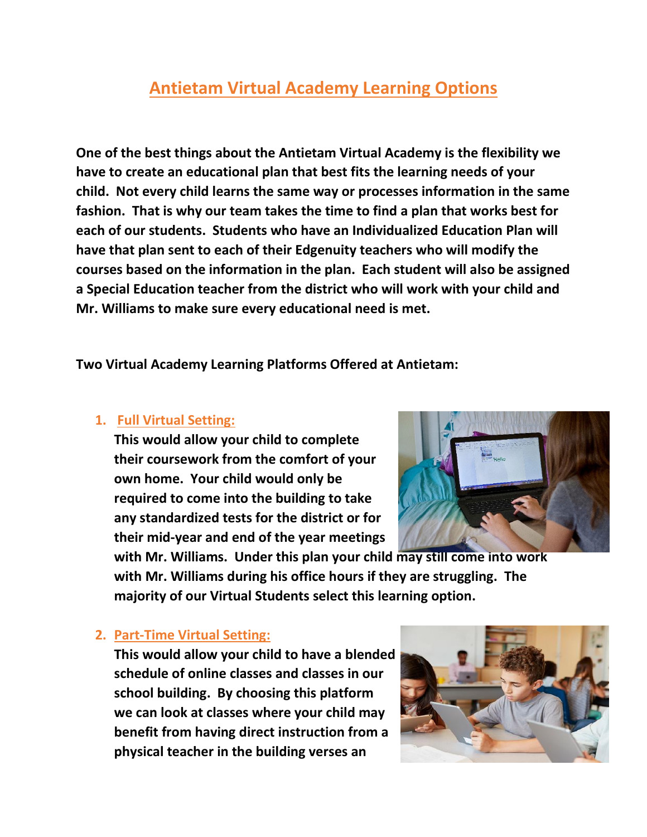## **Antietam Virtual Academy Learning Options**

**One of the best things about the Antietam Virtual Academy is the flexibility we have to create an educational plan that best fits the learning needs of your child. Not every child learns the same way or processes information in the same fashion. That is why our team takes the time to find a plan that works best for each of our students. Students who have an Individualized Education Plan will have that plan sent to each of their Edgenuity teachers who will modify the courses based on the information in the plan. Each student will also be assigned a Special Education teacher from the district who will work with your child and Mr. Williams to make sure every educational need is met.**

**Two Virtual Academy Learning Platforms Offered at Antietam:**

## **1. Full Virtual Setting:**

**This would allow your child to complete their coursework from the comfort of your own home. Your child would only be required to come into the building to take any standardized tests for the district or for their mid-year and end of the year meetings**



**with Mr. Williams. Under this plan your child may still come into work with Mr. Williams during his office hours if they are struggling. The majority of our Virtual Students select this learning option.**

## **2. Part-Time Virtual Setting:**

**This would allow your child to have a blended schedule of online classes and classes in our school building. By choosing this platform we can look at classes where your child may benefit from having direct instruction from a physical teacher in the building verses an**